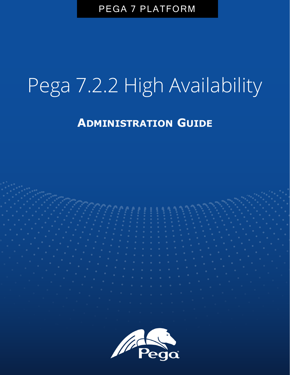PEGA 7 PLATFORM

# Pega 7.2.2 High Availability

**ADMINISTRATION GUIDE**

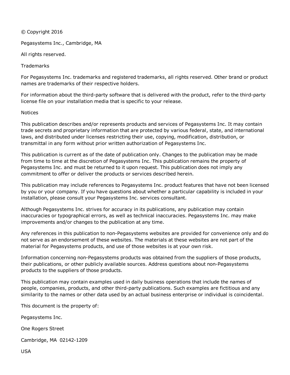© Copyright 2016

Pegasystems Inc., Cambridge, MA

All rights reserved.

**Trademarks** 

For Pegasystems Inc. trademarks and registered trademarks, all rights reserved. Other brand or product names are trademarks of their respective holders.

For information about the third-party software that is delivered with the product, refer to the third-party license file on your installation media that is specific to your release.

#### **Notices**

This publication describes and/or represents products and services of Pegasystems Inc. It may contain trade secrets and proprietary information that are protected by various federal, state, and international laws, and distributed under licenses restricting their use, copying, modification, distribution, or transmittal in any form without prior written authorization of Pegasystems Inc.

This publication is current as of the date of publication only. Changes to the publication may be made from time to time at the discretion of Pegasystems Inc. This publication remains the property of Pegasystems Inc. and must be returned to it upon request. This publication does not imply any commitment to offer or deliver the products or services described herein.

This publication may include references to Pegasystems Inc. product features that have not been licensed by you or your company. If you have questions about whether a particular capability is included in your installation, please consult your Pegasystems Inc. services consultant.

Although Pegasystems Inc. strives for accuracy in its publications, any publication may contain inaccuracies or typographical errors, as well as technical inaccuracies. Pegasystems Inc. may make improvements and/or changes to the publication at any time.

Any references in this publication to non-Pegasystems websites are provided for convenience only and do not serve as an endorsement of these websites. The materials at these websites are not part of the material for Pegasystems products, and use of those websites is at your own risk.

Information concerning non-Pegasystems products was obtained from the suppliers of those products, their publications, or other publicly available sources. Address questions about non-Pegasystems products to the suppliers of those products.

This publication may contain examples used in daily business operations that include the names of people, companies, products, and other third-party publications. Such examples are fictitious and any similarity to the names or other data used by an actual business enterprise or individual is coincidental.

This document is the property of:

Pegasystems Inc.

One Rogers Street

Cambridge, MA 02142-1209

USA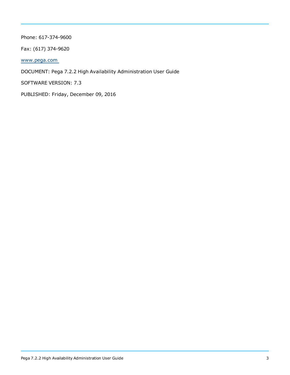#### Phone: 617-374-9600

Fax: (617) 374-9620

[www.pega.com](http://www.pega.com/)

DOCUMENT: Pega 7.2.2 High Availability Administration User Guide

SOFTWARE VERSION: 7.3

PUBLISHED: Friday, December 09, 2016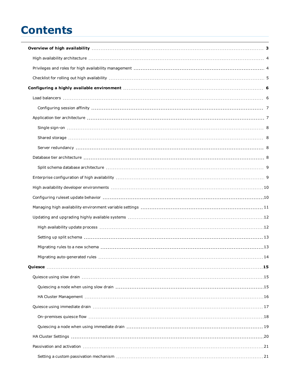# **Contents**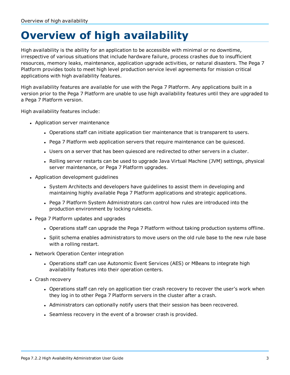# <span id="page-5-0"></span>**Overview of high availability**

High availability is the ability for an application to be accessible with minimal or no downtime, irrespective of various situations that include hardware failure, process crashes due to insufficient resources, memory leaks, maintenance, application upgrade activities, or natural disasters. The Pega 7 Platform provides tools to meet high level production service level agreements for mission critical applications with high availability features.

High availability features are available for use with the Pega 7 Platform. Any applications built in a version prior to the Pega 7 Platform are unable to use high availability features until they are upgraded to a Pega 7 Platform version.

High availability features include:

- Application server maintenance
	- Operations staff can initiate application tier maintenance that is transparent to users.
	- Pega 7 Platform web application servers that require maintenance can be quiesced.
	- Users on a server that has been quiesced are redirected to other servers in a cluster.
	- Rolling server restarts can be used to upgrade Java Virtual Machine (JVM) settings, physical server maintenance, or Pega 7 Platform upgrades.
- Application development guidelines
	- System Architects and developers have guidelines to assist them in developing and maintaining highly available Pega 7 Platform applications and strategic applications.
	- Pega 7 Platform System Administrators can control how rules are introduced into the production environment by locking rulesets.
- Pega 7 Platform updates and upgrades
	- Operations staff can upgrade the Pega 7 Platform without taking production systems offline.
	- Split schema enables administrators to move users on the old rule base to the new rule base with a rolling restart.
- Network Operation Center integration
	- Operations staff can use Autonomic Event Services (AES) or MBeans to integrate high availability features into their operation centers.
- Crash recovery
	- Operations staff can rely on application tier crash recovery to recover the user's work when they log in to other Pega 7 Platform servers in the cluster after a crash.
	- Administrators can optionally notify users that their session has been recovered.
	- Seamless recovery in the event of a browser crash is provided.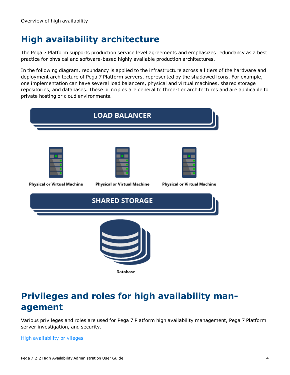# <span id="page-6-0"></span>**High availability architecture**

The Pega 7 Platform supports production service level agreements and emphasizes redundancy as a best practice for physical and software-based highly available production architectures.

In the following diagram, redundancy is applied to the infrastructure across all tiers of the hardware and deployment architecture of Pega 7 Platform servers, represented by the shadowed icons. For example, one implementation can have several load balancers, physical and virtual machines, shared storage repositories, and databases. These principles are general to three-tier architectures and are applicable to private hosting or cloud environments.

|                                    | <b>LOAD BALANCER</b>               |                                    |
|------------------------------------|------------------------------------|------------------------------------|
| <b>Physical or Virtual Machine</b> | <b>Physical or Virtual Machine</b> | <b>Physical or Virtual Machine</b> |
|                                    | <b>SHARED STORAGE</b>              |                                    |
|                                    | <b>Database</b>                    |                                    |

# <span id="page-6-1"></span>**Privileges and roles for high availability management**

Various privileges and roles are used for Pega 7 Platform high availability management, Pega 7 Platform server investigation, and security.

#### High availability privileges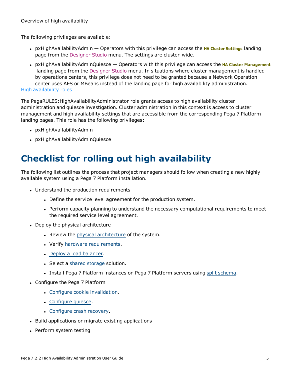The following privileges are available:

- <sup>l</sup> pxHighAvailabilityAdmin Operators with this privilege can access the **HA Cluster Settings** landing page from the Designer Studio menu. The settings are cluster-wide.
- <sup>l</sup> pxHighAvailabilityAdminQuiesce Operators with this privilege can access the **HA Cluster Management** landing page from the Designer Studio menu. In situations where cluster management is handled by operations centers, this privilege does not need to be granted because a Network Operation center uses AES or MBeans instead of the landing page for high availability administration. High availability roles

The PegaRULES:HighAvailabilityAdministrator role grants access to high availability cluster administration and quiesce investigation. Cluster administration in this context is access to cluster management and high availability settings that are accessible from the corresponding Pega 7 Platform landing pages. This role has the following privileges:

- pxHighAvailabilityAdmin
- <span id="page-7-0"></span>• pxHighAvailabilityAdminQuiesce

# **Checklist for rolling out high availability**

The following list outlines the process that project managers should follow when creating a new highly available system using a Pega 7 Platform installation.

- Understand the production requirements
	- Define the service level agreement for the production system.
	- Perform capacity planning to understand the necessary computational requirements to meet the required service level agreement.
- Deploy the physical architecture
	- Review the physical [architecture](#page-6-0) of the system.
	- Verify hardware [requirements](#page-8-0).
	- Deploy a load [balancer.](#page-8-1)
	- Select a shared [storage](#page-9-1) solution.
	- Install Pega 7 Platform instances on Pega 7 Platform servers using split [schema.](#page-14-0)
- Configure the Pega 7 Platform
	- Configure cookie [invalidation](#page-9-0).
	- [Configure](#page-17-0) quiesce.
	- [Configure](#page-30-0) crash recovery.
- Build applications or migrate existing applications
- Perform system testing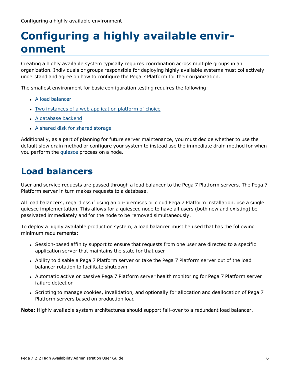# <span id="page-8-0"></span>**Configuring a highly available environment**

Creating a highly available system typically requires coordination across multiple groups in an organization. Individuals or groups responsible for deploying highly available systems must collectively understand and agree on how to configure the Pega 7 Platform for their organization.

The smallest environment for basic configuration testing requires the following:

- A load [balancer](#page-8-1)
- Two instances of a web [application](#page-9-1) platform of choice
- A [database](#page-10-3) backend
- A shared disk for shared [storage](#page-10-1)

Additionally, as a part of planning for future server maintenance, you must decide whether to use the default slow drain method or configure your system to instead use the immediate drain method for when you perform the [quiesce](#page-17-0) process on a node.

# <span id="page-8-1"></span>**Load balancers**

User and service requests are passed through a load balancer to the Pega 7 Platform servers. The Pega 7 Platform server in turn makes requests to a database.

All load balancers, regardless if using an on-premises or cloud Pega 7 Platform installation, use a single quiesce implementation. This allows for a quiesced node to have all users (both new and existing) be passivated immediately and for the node to be removed simultaneously.

To deploy a highly available production system, a load balancer must be used that has the following minimum requirements:

- Session-based affinity support to ensure that requests from one user are directed to a specific application server that maintains the state for that user
- Ability to disable a Pega 7 Platform server or take the Pega 7 Platform server out of the load balancer rotation to facilitate shutdown
- Automatic active or passive Pega 7 Platform server health monitoring for Pega 7 Platform server failure detection
- Scripting to manage cookies, invalidation, and optionally for allocation and deallocation of Pega 7 Platform servers based on production load

**Note:** Highly available system architectures should support fail-over to a redundant load balancer.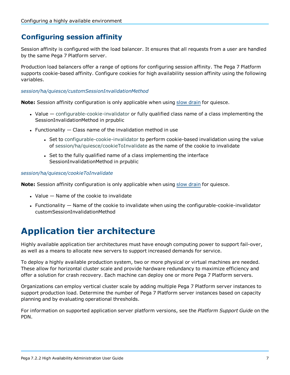### <span id="page-9-0"></span>**Configuring session affinity**

Session affinity is configured with the load balancer. It ensures that all requests from a user are handled by the same Pega 7 Platform server.

Production load balancers offer a range of options for configuring session affinity. The Pega 7 Platform supports cookie-based affinity. Configure cookies for high availability session affinity using the following variables.

#### *session/ha/quiesce/customSessionInvalidationMethod*

**Note:** Session affinity configuration is only applicable when using slow [drain](#page-17-1) for quiesce.

- Value configurable-cookie-invalidator or fully qualified class name of a class implementing the SessionInvalidationMethod in prpublic
- **Functionality Class name of the invalidation method in use** 
	- Set to configurable-cookie-invalidator to perform cookie-based invalidation using the value of session/ha/quiesce/cookieToInvalidate as the name of the cookie to invalidate
	- Set to the fully qualified name of a class implementing the interface SessionInvalidationMethod in prpublic

#### *session/ha/quiesce/cookieToInvalidate*

**Note:** Session affinity configuration is only applicable when using slow [drain](#page-17-1) for quiesce.

- $\bullet$  Value  $-$  Name of the cookie to invalidate
- **Functionality Name of the cookie to invalidate when using the configurable-cookie-invalidator** customSessionInvalidationMethod

# <span id="page-9-1"></span>**Application tier architecture**

Highly available application tier architectures must have enough computing power to support fail-over, as well as a means to allocate new servers to support increased demands for service.

To deploy a highly available production system, two or more physical or virtual machines are needed. These allow for horizontal cluster scale and provide hardware redundancy to maximize efficiency and offer a solution for crash recovery. Each machine can deploy one or more Pega 7 Platform servers.

Organizations can employ vertical cluster scale by adding multiple Pega 7 Platform server instances to support production load. Determine the number of Pega 7 Platform server instances based on capacity planning and by evaluating operational thresholds.

For information on supported application server platform versions, see the *Platform Support Guide* on the PDN.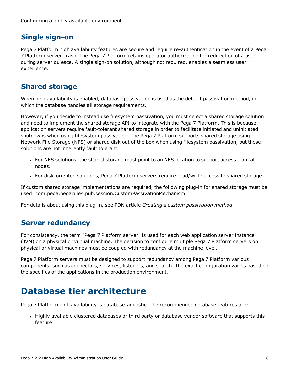### <span id="page-10-0"></span>**Single sign-on**

Pega 7 Platform high availability features are secure and require re-authentication in the event of a Pega 7 Platform server crash. The Pega 7 Platform retains operator authorization for redirection of a user during server quiesce. A single sign-on solution, although not required, enables a seamless user experience.

### <span id="page-10-1"></span>**Shared storage**

When high availability is enabled, database passivation is used as the default passivation method, in which the database handles all storage requirements.

However, if you decide to instead use filesystem passivation, you must select a shared storage solution and need to implement the shared storage API to integrate with the Pega 7 Platform. This is because application servers require fault-tolerant shared storage in order to facilitate initiated and uninitiated shutdowns when using filesystem passivation. The Pega 7 Platform supports shared storage using Network File Storage (NFS) or shared disk out of the box when using filesystem passivation, but these solutions are not inherently fault tolerant.

- For NFS solutions, the shared storage must point to an NFS location to support access from all nodes.
- <sup>l</sup> For disk-oriented solutions, Pega 7 Platform servers require read/write access to shared storage .

If custom shared storage implementations are required, the following plug-in for shared storage must be used: com.pega.pegarules.pub.session.CustomPassivationMechanism

<span id="page-10-2"></span>For details about using this plug-in, see PDN article *Creating a custom passivation method*.

### **Server redundancy**

For consistency, the term "Pega 7 Platform server" is used for each web application server instance (JVM) on a physical or virtual machine. The decision to configure multiple Pega 7 Platform servers on physical or virtual machines must be coupled with redundancy at the machine level.

Pega 7 Platform servers must be designed to support redundancy among Pega 7 Platform various components, such as connectors, services, listeners, and search. The exact configuration varies based on the specifics of the applications in the production environment.

# <span id="page-10-3"></span>**Database tier architecture**

Pega 7 Platform high availability is database-agnostic. The recommended database features are:

• Highly available clustered databases or third party or database vendor software that supports this feature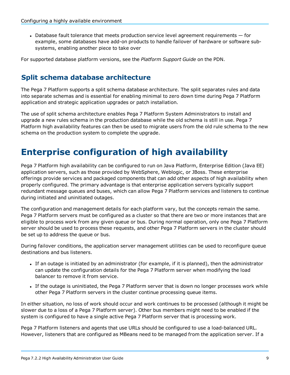$\bullet$  Database fault tolerance that meets production service level agreement requirements  $-$  for example, some databases have add-on products to handle failover of hardware or software subsystems, enabling another piece to take over

<span id="page-11-0"></span>For supported database platform versions, see the *Platform Support Guide* on the PDN.

### **Split schema database architecture**

The Pega 7 Platform supports a split schema database architecture. The split separates rules and data into separate schemas and is essential for enabling minimal to zero down time during Pega 7 Platform application and strategic application upgrades or patch installation.

The use of split schema architecture enables Pega 7 Platform System Administrators to install and upgrade a new rules schema in the production database while the old schema is still in use. Pega 7 Platform high availability features can then be used to migrate users from the old rule schema to the new schema on the production system to complete the upgrade.

### <span id="page-11-1"></span>**Enterprise configuration of high availability**

Pega 7 Platform high availability can be configured to run on Java Platform, Enterprise Edition (Java EE) application servers, such as those provided by WebSphere, Weblogic, or JBoss. These enterprise offerings provide services and packaged components that can add other aspects of high availability when properly configured. The primary advantage is that enterprise application servers typically support redundant message queues and buses, which can allow Pega 7 Platform services and listeners to continue during initiated and uninitiated outages.

The configuration and management details for each platform vary, but the concepts remain the same. Pega 7 Platform servers must be configured as a cluster so that there are two or more instances that are eligible to process work from any given queue or bus. During normal operation, only one Pega 7 Platform server should be used to process these requests, and other Pega 7 Platform servers in the cluster should be set up to address the queue or bus.

During failover conditions, the application server management utilities can be used to reconfigure queue destinations and bus listeners.

- If an outage is initiated by an administrator (for example, if it is planned), then the administrator can update the configuration details for the Pega 7 Platform server when modifying the load balancer to remove it from service.
- If the outage is uninitiated, the Pega 7 Platform server that is down no longer processes work while other Pega 7 Platform servers in the cluster continue processing queue items.

In either situation, no loss of work should occur and work continues to be processed (although it might be slower due to a loss of a Pega 7 Platform server). Other bus members might need to be enabled if the system is configured to have a single active Pega 7 Platform server that is processing work.

Pega 7 Platform listeners and agents that use URLs should be configured to use a load-balanced URL. However, listeners that are configured as MBeans need to be managed from the application server. If a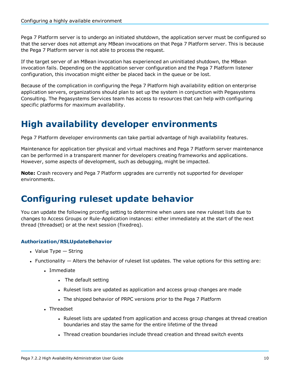Pega 7 Platform server is to undergo an initiated shutdown, the application server must be configured so that the server does not attempt any MBean invocations on that Pega 7 Platform server. This is because the Pega 7 Platform server is not able to process the request.

If the target server of an MBean invocation has experienced an uninitiated shutdown, the MBean invocation fails. Depending on the application server configuration and the Pega 7 Platform listener configuration, this invocation might either be placed back in the queue or be lost.

Because of the complication in configuring the Pega 7 Platform high availability edition on enterprise application servers, organizations should plan to set up the system in conjunction with Pegasystems Consulting. The Pegasystems Services team has access to resources that can help with configuring specific platforms for maximum availability.

# <span id="page-12-0"></span>**High availability developer environments**

Pega 7 Platform developer environments can take partial advantage of high availability features.

Maintenance for application tier physical and virtual machines and Pega 7 Platform server maintenance can be performed in a transparent manner for developers creating frameworks and applications. However, some aspects of development, such as debugging, might be impacted.

**Note:** Crash recovery and Pega 7 Platform upgrades are currently not supported for developer environments.

# <span id="page-12-1"></span>**Configuring ruleset update behavior**

You can update the following prconfig setting to determine when users see new ruleset lists due to changes to Access Groups or Rule-Application instances: either immediately at the start of the next thread (threadset) or at the next session (fixedreq).

#### **Authorization/RSLUpdateBehavior**

- $\cdot$  Value Type  $-$  String
- $\bullet$  Functionality  $-$  Alters the behavior of ruleset list updates. The value options for this setting are:
	- . Immediate
		- The default setting
		- Ruleset lists are updated as application and access group changes are made
		- The shipped behavior of PRPC versions prior to the Pega 7 Platform
	- . Threadset
		- Ruleset lists are updated from application and access group changes at thread creation boundaries and stay the same for the entire lifetime of the thread
		- Thread creation boundaries include thread creation and thread switch events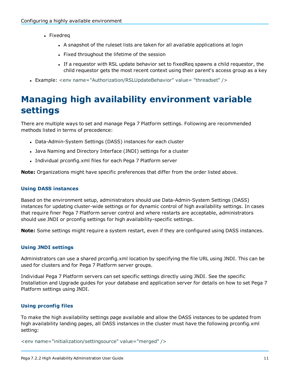- Fixedreg
	- A snapshot of the ruleset lists are taken for all available applications at login
	- Fixed throughout the lifetime of the session
	- If a requestor with RSL update behavior set to fixedReq spawns a child requestor, the child requestor gets the most recent context using their parent's access group as a key
- <span id="page-13-0"></span><sup>l</sup> Example: <env name="Authorization/RSLUpdateBehavior" value= "threadset" />

# **Managing high availability environment variable settings**

There are multiple ways to set and manage Pega 7 Platform settings. Following are recommended methods listed in terms of precedence:

- Data-Admin-System Settings (DASS) instances for each cluster
- Java Naming and Directory Interface (JNDI) settings for a cluster
- Individual prconfig.xml files for each Pega 7 Platform server

**Note:** Organizations might have specific preferences that differ from the order listed above.

#### **Using DASS instances**

Based on the environment setup, administrators should use Data-Admin-System Settings (DASS) instances for updating cluster-wide settings or for dynamic control of high availability settings. In cases that require finer Pega 7 Platform server control and where restarts are acceptable, administrators should use JNDI or prconfig settings for high availability-specific settings.

**Note:** Some settings might require a system restart, even if they are configured using DASS instances.

#### **Using JNDI settings**

Administrators can use a shared prconfig.xml location by specifying the file URL using JNDI. This can be used for clusters and for Pega 7 Platform server groups.

Individual Pega 7 Platform servers can set specific settings directly using JNDI. See the specific Installation and Upgrade guides for your database and application server for details on how to set Pega 7 Platform settings using JNDI.

#### **Using prconfig files**

To make the high availability settings page available and allow the DASS instances to be updated from high availability landing pages, all DASS instances in the cluster must have the following prconfig.xml setting:

<env name="initialization/settingsource" value="merged" />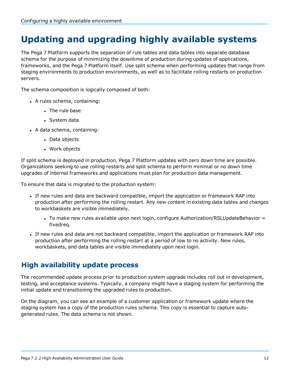# <span id="page-14-0"></span>**Updating and upgrading highly available systems**

The Pega 7 Platform supports the separation of rule tables and data tables into separate database schema for the purpose of minimizing the downtime of production during updates of applications, frameworks, and the Pega 7 Platform itself. Use split schema when performing updates that range from staging environments to production environments, as well as to facilitate rolling restarts on production servers.

The schema composition is logically composed of both:

- A rules schema, containing:
	- $\blacksquare$  The rule base
	- System data
- A data schema, containing:
	- Data objects
	- Work objects

If split schema is deployed in production, Pega 7 Platform updates with zero down time are possible. Organizations seeking to use rolling restarts and split schema to perform minimal or no down time upgrades of internal frameworks and applications must plan for production data management.

To ensure that data is migrated to the production system:

- If new rules and data are backward compatible, import the application or framework RAP into production after performing the rolling restart. Any new content in existing data tables and changes to workbaskets are visible immediately.
	- $\bullet$  To make new rules available upon next login, configure Authorization/RSLUpdateBehavior = fixedreq.
- If new rules and data are not backward compatible, import the application or framework RAP into production after performing the rolling restart at a period of low to no activity. New rules, workbaskets, and data tables are visible immediately upon next login.

### <span id="page-14-1"></span>**High availability update process**

The recommended update process prior to production system upgrade includes roll out in development, testing, and acceptance systems. Typically, a company might have a staging system for performing the initial update and transitioning the upgraded rules to production.

On the diagram, you can see an example of a customer application or framework update where the staging system has a copy of the production rules schema. This copy is essential to capture autogenerated rules. The data schema is not shown.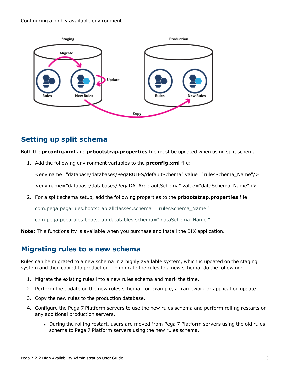

### <span id="page-15-0"></span>**Setting up split schema**

Both the **prconfig.xml** and **prbootstrap.properties** file must be updated when using split schema.

1. Add the following environment variables to the **prconfig.xml** file:

<env name="database/databases/PegaRULES/defaultSchema" value="rulesSchema\_Name"/> <env name="database/databases/PegaDATA/defaultSchema" value="dataSchema\_Name" />

2. For a split schema setup, add the following properties to the **prbootstrap.properties** file:

com.pega.pegarules.bootstrap.allclasses.schema=" rulesSchema\_Name "

com.pega.pegarules.bootstrap.datatables.schema=" dataSchema\_Name "

<span id="page-15-1"></span>**Note:** This functionality is available when you purchase and install the BIX application.

### **Migrating rules to a new schema**

Rules can be migrated to a new schema in a highly available system, which is updated on the staging system and then copied to production. To migrate the rules to a new schema, do the following:

- 1. Migrate the existing rules into a new rules schema and mark the time.
- 2. Perform the update on the new rules schema, for example, a framework or application update.
- 3. Copy the new rules to the production database.
- 4. Configure the Pega 7 Platform servers to use the new rules schema and perform rolling restarts on any additional production servers.
	- During the rolling restart, users are moved from Pega 7 Platform servers using the old rules schema to Pega 7 Platform servers using the new rules schema.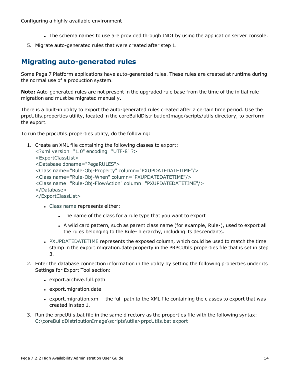- The schema names to use are provided through JNDI by using the application server console.
- <span id="page-16-0"></span>5. Migrate auto-generated rules that were created after step 1.

### **Migrating auto-generated rules**

Some Pega 7 Platform applications have auto-generated rules. These rules are created at runtime during the normal use of a production system.

**Note:** Auto-generated rules are not present in the upgraded rule base from the time of the initial rule migration and must be migrated manually.

There is a built-in utility to export the auto-generated rules created after a certain time period. Use the prpcUtils.properties utility, located in the coreBuildDistributionImage/scripts/utils directory, to perform the export.

To run the prpcUtils.properties utility, do the following:

1. Create an XML file containing the following classes to export: <?xml version="1.0" encoding="UTF-8" ?>

```
<ExportClassList>
<Database dbname="PegaRULES">
<Class name="Rule-Obj-Property" column="PXUPDATEDATETIME"/>
<Class name="Rule-Obj-When" column="PXUPDATEDATETIME"/>
<Class name="Rule-Obj-FlowAction" column="PXUPDATEDATETIME"/>
</Database>
</ExportClassList>
```
- Class name represents either:
	- The name of the class for a rule type that you want to export
	- A wild card pattern, such as parent class name (for example, Rule-), used to export all the rules belonging to the Rule- hierarchy, including its descendants.
- PXUPDATEDATETIME represents the exposed column, which could be used to match the time stamp in the export.migration.date property in the PRPCUtils.properties file that is set in step 3.
- 2. Enter the database connection information in the utility by setting the following properties under its Settings for Export Tool section:
	- export.archive.full.path
	- export.migration.date
	- export.migration.xml the full-path to the XML file containing the classes to export that was created in step 1.
- 3. Run the prpcUtils.bat file in the same directory as the properties file with the following syntax: C:\coreBuildDistributionImage\scripts\utils>prpcUtils.bat export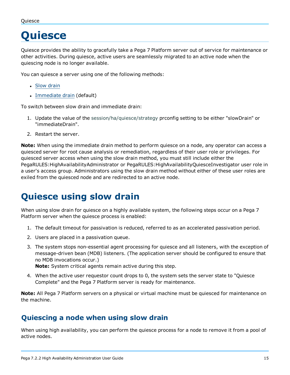#### <span id="page-17-0"></span>Quiesce

# **Quiesce**

Quiesce provides the ability to gracefully take a Pega 7 Platform server out of service for maintenance or other activities. During quiesce, active users are seamlessly migrated to an active node when the quiescing node is no longer available.

You can quiesce a server using one of the following methods:

- Slow [drain](#page-17-1)
- [Immediate](#page-19-0) drain (default)

To switch between slow drain and immediate drain:

- 1. Update the value of the session/ha/quiesce/strategy prconfig setting to be either "slowDrain" or "immediateDrain".
- 2. Restart the server.

**Note:** When using the immediate drain method to perform quiesce on a node, any operator can access a quiesced server for root cause analysis or remediation, regardless of their user role or privileges. For quiesced server access when using the slow drain method, you must still include either the PegaRULES:HighAvailabilityAdministrator or PegaRULES:HighAvailabilityQuiesceInvestigator user role in a user's access group. Administrators using the slow drain method without either of these user roles are exiled from the quiesced node and are redirected to an active node.

# <span id="page-17-1"></span>**Quiesce using slow drain**

When using slow drain for quiesce on a highly available system, the following steps occur on a Pega 7 Platform server when the quiesce process is enabled:

- 1. The default timeout for passivation is reduced, referred to as an accelerated passivation period.
- 2. Users are placed in a passivation queue.
- 3. The system stops non-essential agent processing for quiesce and all listeners, with the exception of message-driven bean (MDB) listeners. (The application server should be configured to ensure that no MDB invocations occur.)

**Note:** System critical agents remain active during this step.

4. When the active user requestor count drops to 0, the system sets the server state to "Quiesce Complete" and the Pega 7 Platform server is ready for maintenance.

**Note:** All Pega 7 Platform servers on a physical or virtual machine must be quiesced for maintenance on the machine.

### <span id="page-17-2"></span>**Quiescing a node when using slow drain**

When using high availability, you can perform the quiesce process for a node to remove it from a pool of active nodes.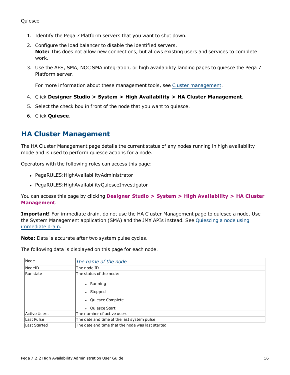- 1. Identify the Pega 7 Platform servers that you want to shut down.
- 2. Configure the load balancer to disable the identified servers. **Note:** This does not allow new connections, but allows existing users and services to complete work.
- 3. Use the AES, SMA, NOC SMA integration, or high availability landing pages to quiesce the Pega 7 Platform server.

For more information about these management tools, see Cluster [management](#page-25-0).

- 4. Click **Designer Studio > System > High Availability > HA Cluster Management**.
- 5. Select the check box in front of the node that you want to quiesce.
- 6. Click **Quiesce**.

### <span id="page-18-0"></span>**HA Cluster Management**

The HA Cluster Management page details the current status of any nodes running in high availability mode and is used to perform quiesce actions for a node.

Operators with the following roles can access this page:

- PegaRULES: HighAvailability Administrator
- PegaRULES: HighAvailabilityQuiesceInvestigator

You can access this page by clicking **Designer Studio > System > High Availability > HA Cluster Management**.

**Important!** For immediate drain, do not use the HA Cluster Management page to quiesce a node. Use the System Management application (SMA) and the JMX APIs instead. See [Quiescing](#page-21-0) a node using [immediate](#page-21-0) drain.

**Note:** Data is accurate after two system pulse cycles.

The following data is displayed on this page for each node.

| Node                | The name of the node                             |  |
|---------------------|--------------------------------------------------|--|
| NodeID              | The node ID                                      |  |
| Runstate            | The status of the node:                          |  |
|                     | Running<br>$\bullet$                             |  |
|                     | Stopped<br>$\bullet$                             |  |
|                     | • Quiesce Complete                               |  |
|                     | • Quiesce Start                                  |  |
| <b>Active Users</b> | The number of active users                       |  |
| Last Pulse          | The date and time of the last system pulse       |  |
| <b>Last Started</b> | The date and time that the node was last started |  |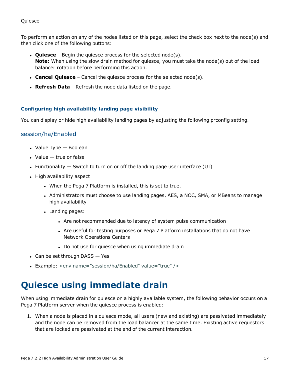To perform an action on any of the nodes listed on this page, select the check box next to the node(s) and then click one of the following buttons:

- **Quiesce** Begin the quiesce process for the selected node(s). **Note:** When using the slow drain method for quiesce, you must take the node(s) out of the load balancer rotation before performing this action.
- **Cancel Quiesce** Cancel the quiesce process for the selected node(s).
- **Refresh Data** Refresh the node data listed on the page.

#### **Configuring high availability landing page visibility**

You can display or hide high availability landing pages by adjusting the following prconfig setting.

#### session/ha/Enabled

- $\cdot$  Value Type  $-$  Boolean
- $\bullet$  Value  $-$  true or false
- Functionality  $-$  Switch to turn on or off the landing page user interface (UI)
- High availability aspect
	- When the Pega 7 Platform is installed, this is set to true.
	- Administrators must choose to use landing pages, AES, a NOC, SMA, or MBeans to manage high availability
	- Landing pages:
		- Are not recommended due to latency of system pulse communication
		- Are useful for testing purposes or Pega 7 Platform installations that do not have Network Operations Centers
		- Do not use for quiesce when using immediate drain
- $\bullet$  Can be set through DASS  $-$  Yes
- <span id="page-19-0"></span>• Example: <env name="session/ha/Enabled" value="true" />

# **Quiesce using immediate drain**

When using immediate drain for quiesce on a highly available system, the following behavior occurs on a Pega 7 Platform server when the quiesce process is enabled:

1. When a node is placed in a quiesce mode, all users (new and existing) are passivated immediately and the node can be removed from the load balancer at the same time. Existing active requestors that are locked are passivated at the end of the current interaction.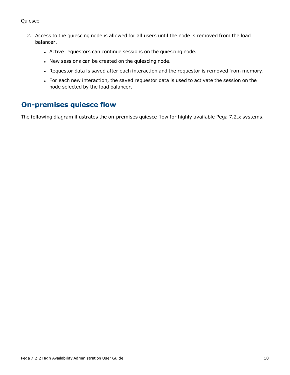- 2. Access to the quiescing node is allowed for all users until the node is removed from the load balancer.
	- Active requestors can continue sessions on the quiescing node.
	- New sessions can be created on the quiescing node.
	- Requestor data is saved after each interaction and the requestor is removed from memory.
	- For each new interaction, the saved requestor data is used to activate the session on the node selected by the load balancer.

### <span id="page-20-0"></span>**On-premises quiesce flow**

The following diagram illustrates the on-premises quiesce flow for highly available Pega 7.2.x systems.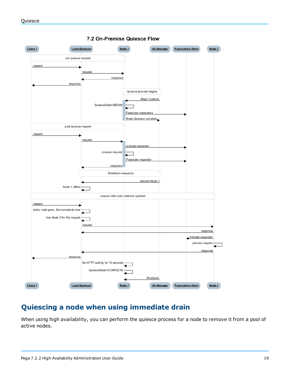

#### 7.2 On-Premise Quiesce Flow

### <span id="page-21-0"></span>**Quiescing a node when using immediate drain**

When using high availability, you can perform the quiesce process for a node to remove it from a pool of active nodes.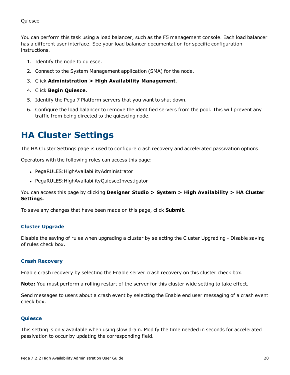You can perform this task using a load balancer, such as the F5 management console. Each load balancer has a different user interface. See your load balancer documentation for specific configuration instructions.

- 1. Identify the node to quiesce.
- 2. Connect to the System Management application (SMA) for the node.
- 3. Click **Administration > High Availability Management**.
- 4. Click **Begin Quiesce**.
- 5. Identify the Pega 7 Platform servers that you want to shut down.
- 6. Configure the load balancer to remove the identified servers from the pool. This will prevent any traffic from being directed to the quiescing node.

### <span id="page-22-0"></span>**HA Cluster Settings**

The HA Cluster Settings page is used to configure crash recovery and accelerated passivation options.

Operators with the following roles can access this page:

- PegaRULES: HighAvailability Administrator
- PegaRULES: HighAvailabilityQuiesceInvestigator

You can access this page by clicking **Designer Studio > System > High Availability > HA Cluster Settings**.

To save any changes that have been made on this page, click **Submit**.

#### **Cluster Upgrade**

Disable the saving of rules when upgrading a cluster by selecting the Cluster Upgrading - Disable saving of rules check box.

#### **Crash Recovery**

Enable crash recovery by selecting the Enable server crash recovery on this cluster check box.

**Note:** You must perform a rolling restart of the server for this cluster wide setting to take effect.

Send messages to users about a crash event by selecting the Enable end user messaging of a crash event check box.

#### **Quiesce**

This setting is only available when using slow drain. Modify the time needed in seconds for accelerated passivation to occur by updating the corresponding field.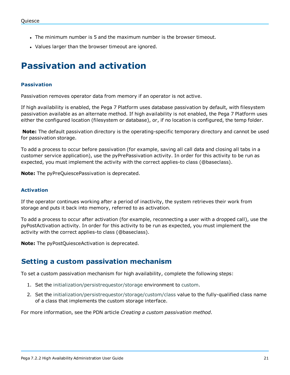- The minimum number is 5 and the maximum number is the browser timeout.
- <span id="page-23-0"></span>• Values larger than the browser timeout are ignored.

### **Passivation and activation**

#### **Passivation**

Passivation removes operator data from memory if an operator is not active.

If high availability is enabled, the Pega 7 Platform uses database passivation by default, with filesystem passivation available as an alternate method. If high availability is not enabled, the Pega 7 Platform uses either the configured location (filesystem or database), or, if no location is configured, the temp folder.

**Note:** The default passivation directory is the operating-specific temporary directory and cannot be used for passivation storage.

To add a process to occur before passivation (for example, saving all call data and closing all tabs in a customer service application), use the pyPrePassivation activity. In order for this activity to be run as expected, you must implement the activity with the correct applies-to class (@baseclass).

**Note:** The pyPreQuiescePassivation is deprecated.

#### **Activation**

If the operator continues working after a period of inactivity, the system retrieves their work from storage and puts it back into memory, referred to as activation.

To add a process to occur after activation (for example, reconnecting a user with a dropped call), use the pyPostActivation activity. In order for this activity to be run as expected, you must implement the activity with the correct applies-to class (@baseclass).

<span id="page-23-1"></span>**Note:** The pyPostQuiesceActivation is deprecated.

### **Setting a custom passivation mechanism**

To set a custom passivation mechanism for high availability, complete the following steps:

- 1. Set the initialization/persistrequestor/storage environment to custom.
- 2. Set the initialization/persistrequestor/storage/custom/class value to the fully-qualified class name of a class that implements the custom storage interface.

For more information, see the PDN article *Creating a custom passivation method*.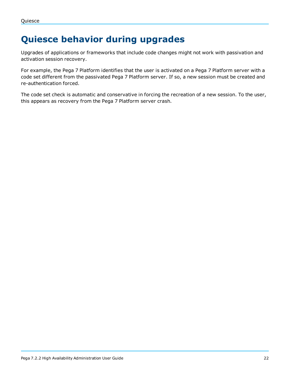# <span id="page-24-0"></span>**Quiesce behavior during upgrades**

Upgrades of applications or frameworks that include code changes might not work with passivation and activation session recovery.

For example, the Pega 7 Platform identifies that the user is activated on a Pega 7 Platform server with a code set different from the passivated Pega 7 Platform server. If so, a new session must be created and re-authentication forced.

The code set check is automatic and conservative in forcing the recreation of a new session. To the user, this appears as recovery from the Pega 7 Platform server crash.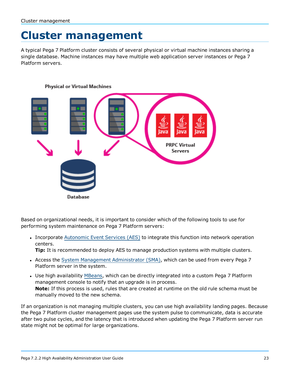# <span id="page-25-0"></span>**Cluster management**

A typical Pega 7 Platform cluster consists of several physical or virtual machine instances sharing a single database. Machine instances may have multiple web application server instances or Pega 7 Platform servers.



Based on organizational needs, it is important to consider which of the following tools to use for performing system maintenance on Pega 7 Platform servers:

• Incorporate [Autonomic](#page-26-0) Event Services (AES) to integrate this function into network operation centers.

**Tip:** It is recommended to deploy AES to manage production systems with multiple clusters.

- Access the System Management [Administrator](#page-26-1) (SMA), which can be used from every Pega 7 Platform server in the system.
- Use high availability [MBeans](#page-27-0), which can be directly integrated into a custom Pega 7 Platform management console to notify that an upgrade is in process. **Note:** If this process is used, rules that are created at runtime on the old rule schema must be manually moved to the new schema.

If an organization is not managing multiple clusters, you can use high availability landing pages. Because the Pega 7 Platform cluster management pages use the system pulse to communicate, data is accurate after two pulse cycles, and the latency that is introduced when updating the Pega 7 Platform server run state might not be optimal for large organizations.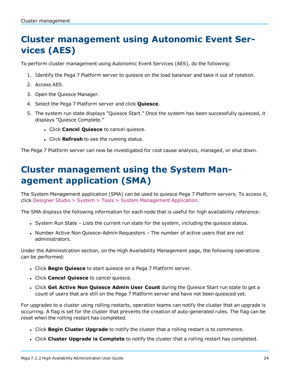# <span id="page-26-0"></span>**Cluster management using Autonomic Event Services (AES)**

To perform cluster management using Autonomic Event Services (AES), do the following:

- 1. Identify the Pega 7 Platform server to quiesce on the load balancer and take it out of rotation.
- 2. Access AES.
- 3. Open the Quiesce Manager.
- 4. Select the Pega 7 Platform server and click **Quiesce**.
- 5. The system run state displays "Quiesce Start." Once the system has been successfully quiesced, it displays "Quiesce Complete."
	- <sup>l</sup> Click **Cancel Quiesce** to cancel quiesce.
	- **.** Click **Refresh** to see the running status.

<span id="page-26-1"></span>The Pega 7 Platform server can now be investigated for root cause analysis, managed, or shut down.

# **Cluster management using the System Management application (SMA)**

The System Management application (SMA) can be used to quiesce Pega 7 Platform servers. To access it, click Designer Studio > System > Tools > System Management Application.

The SMA displays the following information for each node that is useful for high availability reference:

- System Run State Lists the current run state for the system, including the quiesce status.
- Number Active Non Quiesce-Admin Requestors The number of active users that are not administrators.

Under the Administration section, on the High Availability Management page, the following operations can be performed:

- **.** Click **Begin Quiesce** to start quiesce on a Pega 7 Platform server.
- <sup>l</sup> Click **Cancel Quiesce** to cancel quiesce.
- <sup>l</sup> Click **Get Active Non Quiesce Admin User Count** during the Quiesce Start run state to get a count of users that are still on the Pega 7 Platform server and have not been quiesced yet.

For upgrades to a cluster using rolling restarts, operation teams can notify the cluster that an upgrade is occurring. A flag is set for the cluster that prevents the creation of auto-generated rules. The flag can be reset when the rolling restart has completed.

- <sup>l</sup> Click **Begin Cluster Upgrade** to notify the cluster that a rolling restart is to commence.
- <sup>l</sup> Click **Cluster Upgrade is Complete** to notify the cluster that a rolling restart has completed.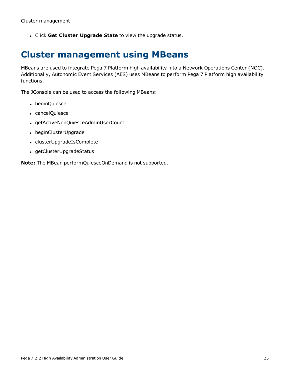<span id="page-27-0"></span><sup>l</sup> Click **Get Cluster Upgrade State** to view the upgrade status.

### **Cluster management using MBeans**

MBeans are used to integrate Pega 7 Platform high availability into a Network Operations Center (NOC). Additionally, Autonomic Event Services (AES) uses MBeans to perform Pega 7 Platform high availability functions.

The JConsole can be used to access the following MBeans:

- beginQuiesce
- cancelQuiesce
- getActiveNonQuiesceAdminUserCount
- beginClusterUpgrade
- clusterUpgradeIsComplete
- getClusterUpgradeStatus

**Note:** The MBean performQuiesceOnDemand is not supported.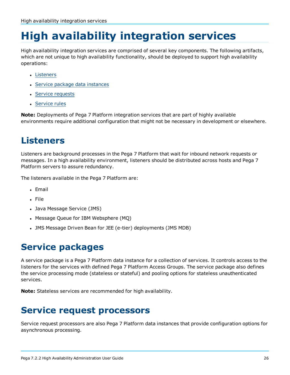# <span id="page-28-0"></span>**High availability integration services**

High availability integration services are comprised of several key components. The following artifacts, which are not unique to high availability functionality, should be deployed to support high availability operations:

- [Listeners](#page-28-1)
- Service package data [instances](#page-28-2)
- Service [requests](#page-28-3)
- [Service](#page-29-0) rules

**Note:** Deployments of Pega 7 Platform integration services that are part of highly available environments require additional configuration that might not be necessary in development or elsewhere.

# <span id="page-28-1"></span>**Listeners**

Listeners are background processes in the Pega 7 Platform that wait for inbound network requests or messages. In a high availability environment, listeners should be distributed across hosts and Pega 7 Platform servers to assure redundancy.

The listeners available in the Pega 7 Platform are:

- <sup>l</sup> Email
- <sup>l</sup> File
- Java Message Service (JMS)
- Message Queue for IBM Websphere (MQ)
- <span id="page-28-2"></span>. JMS Message Driven Bean for JEE (e-tier) deployments (JMS MDB)

# **Service packages**

A service package is a Pega 7 Platform data instance for a collection of services. It controls access to the listeners for the services with defined Pega 7 Platform Access Groups. The service package also defines the service processing mode (stateless or stateful) and pooling options for stateless unauthenticated services.

<span id="page-28-3"></span>**Note:** Stateless services are recommended for high availability.

### **Service request processors**

Service request processors are also Pega 7 Platform data instances that provide configuration options for asynchronous processing.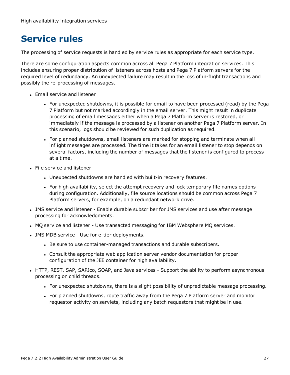# <span id="page-29-0"></span>**Service rules**

The processing of service requests is handled by service rules as appropriate for each service type.

There are some configuration aspects common across all Pega 7 Platform integration services. This includes ensuring proper distribution of listeners across hosts and Pega 7 Platform servers for the required level of redundancy. An unexpected failure may result in the loss of in-flight transactions and possibly the re-processing of messages.

- Email service and listener
	- For unexpected shutdowns, it is possible for email to have been processed (read) by the Pega 7 Platform but not marked accordingly in the email server. This might result in duplicate processing of email messages either when a Pega 7 Platform server is restored, or immediately if the message is processed by a listener on another Pega 7 Platform server. In this scenario, logs should be reviewed for such duplication as required.
	- For planned shutdowns, email listeners are marked for stopping and terminate when all inflight messages are processed. The time it takes for an email listener to stop depends on several factors, including the number of messages that the listener is configured to process at a time.
- **.** File service and listener
	- Unexpected shutdowns are handled with built-in recovery features.
	- For high availability, select the attempt recovery and lock temporary file names options during configuration. Additionally, file source locations should be common across Pega 7 Platform servers, for example, on a redundant network drive.
- JMS service and listener Enable durable subscriber for JMS services and use after message processing for acknowledgments.
- MQ service and listener Use transacted messaging for IBM Websphere MQ services.
- JMS MDB service Use for e-tier deployments.
	- Be sure to use container-managed transactions and durable subscribers.
	- Consult the appropriate web application server vendor documentation for proper configuration of the JEE container for high availability.
- HTTP, REST, SAP, SAPJco, SOAP, and Java services Support the ability to perform asynchronous processing on child threads.
	- For unexpected shutdowns, there is a slight possibility of unpredictable message processing.
	- For planned shutdowns, route traffic away from the Pega 7 Platform server and monitor requestor activity on servlets, including any batch requestors that might be in use.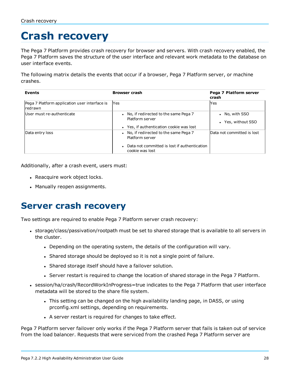# <span id="page-30-0"></span>**Crash recovery**

The Pega 7 Platform provides crash recovery for browser and servers. With crash recovery enabled, the Pega 7 Platform saves the structure of the user interface and relevant work metadata to the database on user interface events.

The following matrix details the events that occur if a browser, Pega 7 Platform server, or machine crashes.

| <b>Events</b>                                            | <b>Browser crash</b>                                                                                                           | Pega 7 Platform server<br>crash                 |
|----------------------------------------------------------|--------------------------------------------------------------------------------------------------------------------------------|-------------------------------------------------|
| Pega 7 Platform application user interface is<br>redrawn | lYes                                                                                                                           | Yes                                             |
| User must re-authenticate                                | • No, if redirected to the same Pega 7<br>Platform server<br>• Yes, if authentication cookie was lost                          | • No, with SSO<br>Yes, without SSO<br>$\bullet$ |
| Data entry loss                                          | • No, if redirected to the same Pega 7<br>Platform server<br>• Data not committed is lost if authentication<br>cookie was lost | Data not committed is lost                      |

Additionally, after a crash event, users must:

- Reacquire work object locks.
- <span id="page-30-1"></span>• Manually reopen assignments.

### **Server crash recovery**

Two settings are required to enable Pega 7 Platform server crash recovery:

- storage/class/passivation/rootpath must be set to shared storage that is available to all servers in the cluster.
	- Depending on the operating system, the details of the configuration will vary.
	- Shared storage should be deployed so it is not a single point of failure.
	- Shared storage itself should have a failover solution.
	- Server restart is required to change the location of shared storage in the Pega 7 Platform.
- session/ha/crash/RecordWorkInProgress=true indicates to the Pega 7 Platform that user interface metadata will be stored to the share file system.
	- This setting can be changed on the high availability landing page, in DASS, or using prconfig.xml settings, depending on requirements.
	- A server restart is required for changes to take effect.

Pega 7 Platform server failover only works if the Pega 7 Platform server that fails is taken out of service from the load balancer. Requests that were serviced from the crashed Pega 7 Platform server are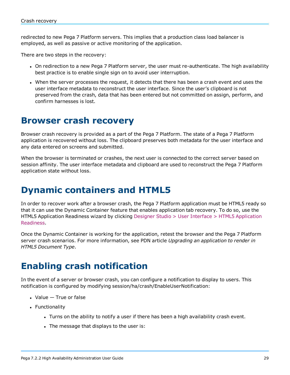redirected to new Pega 7 Platform servers. This implies that a production class load balancer is employed, as well as passive or active monitoring of the application.

There are two steps in the recovery:

- On redirection to a new Pega 7 Platform server, the user must re-authenticate. The high availability best practice is to enable single sign on to avoid user interruption.
- When the server processes the request, it detects that there has been a crash event and uses the user interface metadata to reconstruct the user interface. Since the user's clipboard is not preserved from the crash, data that has been entered but not committed on assign, perform, and confirm harnesses is lost.

### <span id="page-31-0"></span>**Browser crash recovery**

Browser crash recovery is provided as a part of the Pega 7 Platform. The state of a Pega 7 Platform application is recovered without loss. The clipboard preserves both metadata for the user interface and any data entered on screens and submitted.

When the browser is terminated or crashes, the next user is connected to the correct server based on session affinity. The user interface metadata and clipboard are used to reconstruct the Pega 7 Platform application state without loss.

### <span id="page-31-1"></span>**Dynamic containers and HTML5**

In order to recover work after a browser crash, the Pega 7 Platform application must be HTML5 ready so that it can use the Dynamic Container feature that enables application tab recovery. To do so, use the HTML5 Application Readiness wizard by clicking Designer Studio > User Interface > HTML5 Application Readiness.

Once the Dynamic Container is working for the application, retest the browser and the Pega 7 Platform server crash scenarios. For more information, see PDN article *Upgrading an application to render in HTML5 Document Type*.

# <span id="page-31-2"></span>**Enabling crash notification**

In the event of a server or browser crash, you can configure a notification to display to users. This notification is configured by modifying session/ha/crash/EnableUserNotification:

- $\bullet$  Value  $-$  True or false
- Functionality
	- Turns on the ability to notify a user if there has been a high availability crash event.
	- The message that displays to the user is: